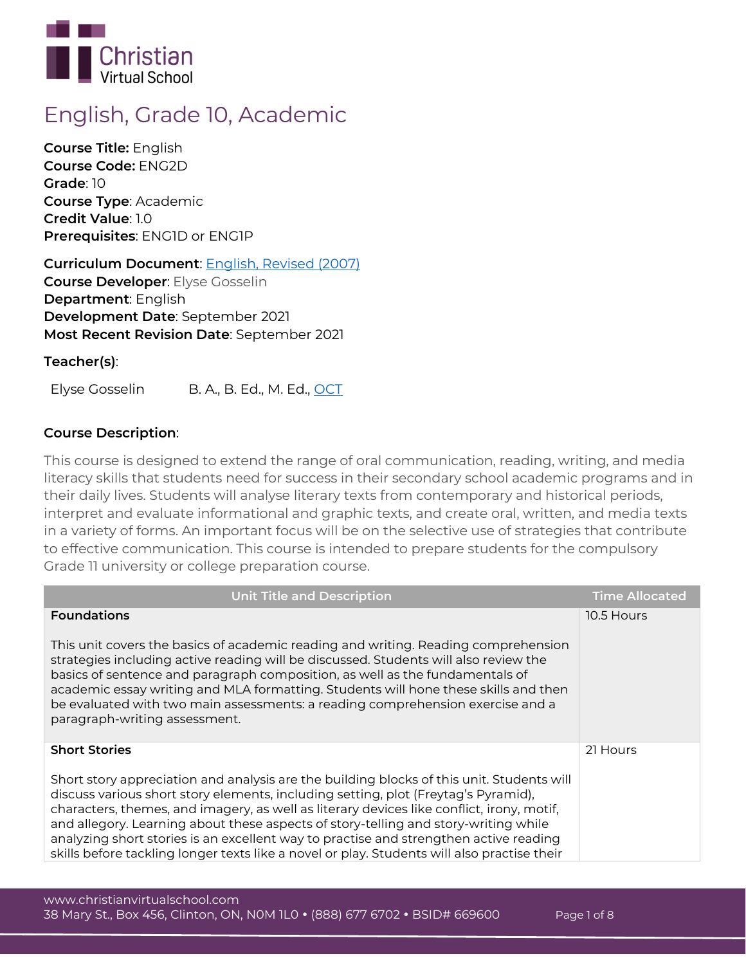

# **English, Grade 10, Academic**

**Course Title:** English **Course Code:** ENG2D **Grade**: 10 **Course Type**: Academic **Credit Value**: 1.0 **Prerequisites**: ENG1D or ENG1P

**Curriculum Document**: [English, Revised \(2007\)](http://www.edu.gov.on.ca/eng/curriculum/secondary/english910currb.pdf) **Course Developer**: Elyse Gosselin **Department**: English **Development Date**: September 2021 **Most Recent Revision Date**: September 2021

**Teacher(s)**:

Elyse Gosselin B. A., B. Ed., M. Ed., [OCT](https://www.oct.ca/findateacher/memberinfo?memberid=594137)

## **Course Description**:

This course is designed to extend the range of oral communication, reading, writing, and media literacy skills that students need for success in their secondary school academic programs and in their daily lives. Students will analyse literary texts from contemporary and historical periods, interpret and evaluate informational and graphic texts, and create oral, written, and media texts in a variety of forms. An important focus will be on the selective use of strategies that contribute to effective communication. This course is intended to prepare students for the compulsory Grade 11 university or college preparation course.

| <b>Unit Title and Description</b>                                                                                                                                                                                                                                                                                                                                                                                                                                                                                                                           | <b>Time Allocated</b> |
|-------------------------------------------------------------------------------------------------------------------------------------------------------------------------------------------------------------------------------------------------------------------------------------------------------------------------------------------------------------------------------------------------------------------------------------------------------------------------------------------------------------------------------------------------------------|-----------------------|
| <b>Foundations</b>                                                                                                                                                                                                                                                                                                                                                                                                                                                                                                                                          | 10.5 Hours            |
| This unit covers the basics of academic reading and writing. Reading comprehension<br>strategies including active reading will be discussed. Students will also review the<br>basics of sentence and paragraph composition, as well as the fundamentals of<br>academic essay writing and MLA formatting. Students will hone these skills and then<br>be evaluated with two main assessments: a reading comprehension exercise and a<br>paragraph-writing assessment.                                                                                        |                       |
| <b>Short Stories</b>                                                                                                                                                                                                                                                                                                                                                                                                                                                                                                                                        | 21 Hours              |
| Short story appreciation and analysis are the building blocks of this unit. Students will<br>discuss various short story elements, including setting, plot (Freytag's Pyramid),<br>characters, themes, and imagery, as well as literary devices like conflict, irony, motif,<br>and allegory. Learning about these aspects of story-telling and story-writing while<br>analyzing short stories is an excellent way to practise and strengthen active reading<br>skills before tackling longer texts like a novel or play. Students will also practise their |                       |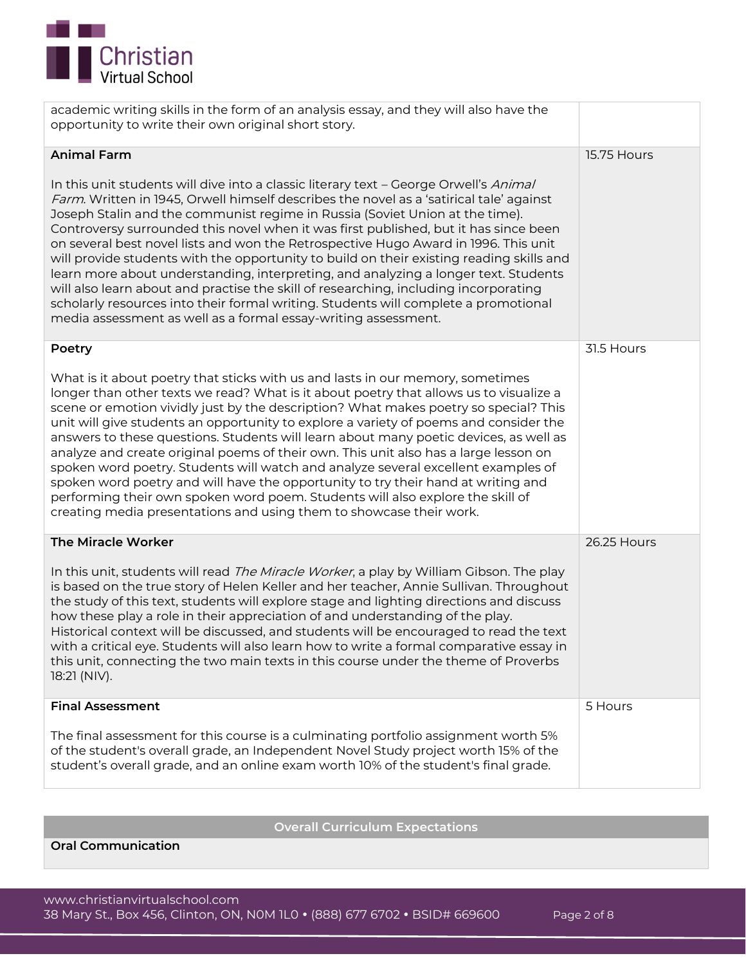

academic writing skills in the form of an analysis essay, and they will also have the opportunity to write their own original short story.

| <b>Animal Farm</b>                                                                                                                                                                                                                                                                                                                                                                                                                                                                                                                                                                                                                                                                                                                                                                                                                                                                  | 15.75 Hours |
|-------------------------------------------------------------------------------------------------------------------------------------------------------------------------------------------------------------------------------------------------------------------------------------------------------------------------------------------------------------------------------------------------------------------------------------------------------------------------------------------------------------------------------------------------------------------------------------------------------------------------------------------------------------------------------------------------------------------------------------------------------------------------------------------------------------------------------------------------------------------------------------|-------------|
| In this unit students will dive into a classic literary text - George Orwell's Animal<br>Farm. Written in 1945, Orwell himself describes the novel as a 'satirical tale' against<br>Joseph Stalin and the communist regime in Russia (Soviet Union at the time).<br>Controversy surrounded this novel when it was first published, but it has since been<br>on several best novel lists and won the Retrospective Hugo Award in 1996. This unit<br>will provide students with the opportunity to build on their existing reading skills and<br>learn more about understanding, interpreting, and analyzing a longer text. Students<br>will also learn about and practise the skill of researching, including incorporating<br>scholarly resources into their formal writing. Students will complete a promotional<br>media assessment as well as a formal essay-writing assessment. |             |
| Poetry                                                                                                                                                                                                                                                                                                                                                                                                                                                                                                                                                                                                                                                                                                                                                                                                                                                                              | 31.5 Hours  |
| What is it about poetry that sticks with us and lasts in our memory, sometimes<br>longer than other texts we read? What is it about poetry that allows us to visualize a<br>scene or emotion vividly just by the description? What makes poetry so special? This<br>unit will give students an opportunity to explore a variety of poems and consider the<br>answers to these questions. Students will learn about many poetic devices, as well as<br>analyze and create original poems of their own. This unit also has a large lesson on<br>spoken word poetry. Students will watch and analyze several excellent examples of<br>spoken word poetry and will have the opportunity to try their hand at writing and<br>performing their own spoken word poem. Students will also explore the skill of<br>creating media presentations and using them to showcase their work.       |             |
| The Miracle Worker                                                                                                                                                                                                                                                                                                                                                                                                                                                                                                                                                                                                                                                                                                                                                                                                                                                                  | 26.25 Hours |
| In this unit, students will read The Miracle Worker, a play by William Gibson. The play<br>is based on the true story of Helen Keller and her teacher, Annie Sullivan. Throughout<br>the study of this text, students will explore stage and lighting directions and discuss<br>how these play a role in their appreciation of and understanding of the play.<br>Historical context will be discussed, and students will be encouraged to read the text<br>with a critical eye. Students will also learn how to write a formal comparative essay in<br>this unit, connecting the two main texts in this course under the theme of Proverbs<br>18:21 (NIV).                                                                                                                                                                                                                          |             |
| <b>Final Assessment</b>                                                                                                                                                                                                                                                                                                                                                                                                                                                                                                                                                                                                                                                                                                                                                                                                                                                             | 5 Hours     |
| The final assessment for this course is a culminating portfolio assignment worth 5%<br>of the student's overall grade, an Independent Novel Study project worth 15% of the<br>student's overall grade, and an online exam worth 10% of the student's final grade.                                                                                                                                                                                                                                                                                                                                                                                                                                                                                                                                                                                                                   |             |

**Overall Curriculum Expectations**

**Oral Communication**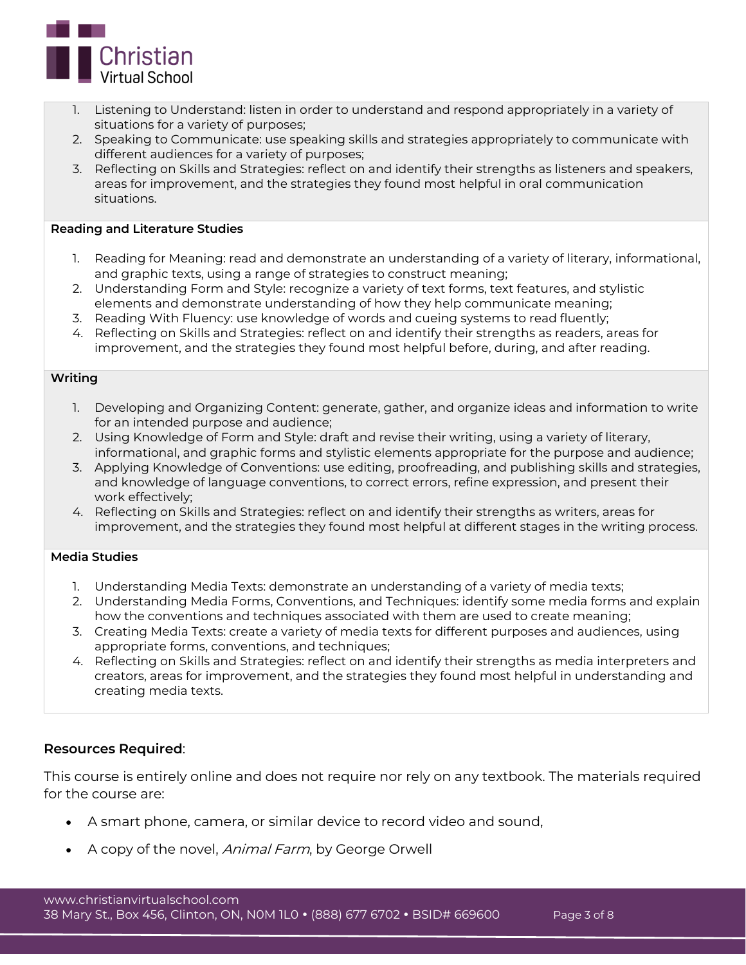

- 1. Listening to Understand: listen in order to understand and respond appropriately in a variety of situations for a variety of purposes;
- 2. Speaking to Communicate: use speaking skills and strategies appropriately to communicate with different audiences for a variety of purposes;
- 3. Reflecting on Skills and Strategies: reflect on and identify their strengths as listeners and speakers, areas for improvement, and the strategies they found most helpful in oral communication situations.

## **Reading and Literature Studies**

- 1. Reading for Meaning: read and demonstrate an understanding of a variety of literary, informational, and graphic texts, using a range of strategies to construct meaning;
- 2. Understanding Form and Style: recognize a variety of text forms, text features, and stylistic elements and demonstrate understanding of how they help communicate meaning;
- 3. Reading With Fluency: use knowledge of words and cueing systems to read fluently;
- 4. Reflecting on Skills and Strategies: reflect on and identify their strengths as readers, areas for improvement, and the strategies they found most helpful before, during, and after reading.

#### **Writing**

- 1. Developing and Organizing Content: generate, gather, and organize ideas and information to write for an intended purpose and audience;
- 2. Using Knowledge of Form and Style: draft and revise their writing, using a variety of literary, informational, and graphic forms and stylistic elements appropriate for the purpose and audience;
- 3. Applying Knowledge of Conventions: use editing, proofreading, and publishing skills and strategies, and knowledge of language conventions, to correct errors, refine expression, and present their work effectively;
- 4. Reflecting on Skills and Strategies: reflect on and identify their strengths as writers, areas for improvement, and the strategies they found most helpful at different stages in the writing process.

## **Media Studies**

- 1. Understanding Media Texts: demonstrate an understanding of a variety of media texts;
- 2. Understanding Media Forms, Conventions, and Techniques: identify some media forms and explain how the conventions and techniques associated with them are used to create meaning;
- 3. Creating Media Texts: create a variety of media texts for different purposes and audiences, using appropriate forms, conventions, and techniques;
- 4. Reflecting on Skills and Strategies: reflect on and identify their strengths as media interpreters and creators, areas for improvement, and the strategies they found most helpful in understanding and creating media texts.

## **Resources Required**:

This course is entirely online and does not require nor rely on any textbook. The materials required for the course are:

- A smart phone, camera, or similar device to record video and sound,
- A copy of the novel, *Animal Farm*, by George Orwell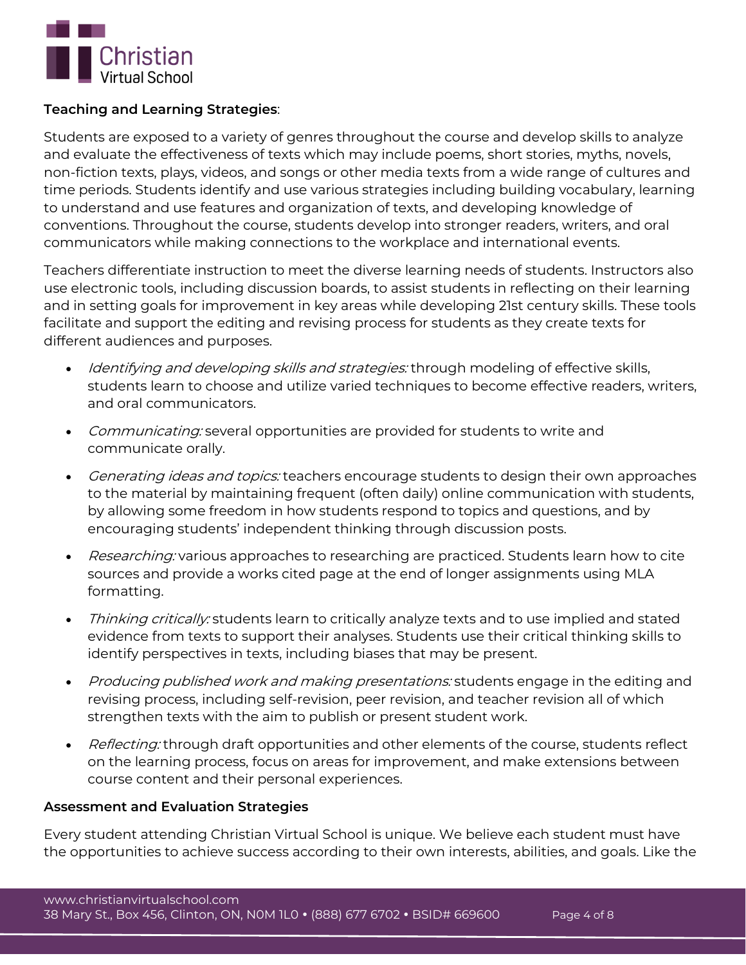

## **Teaching and Learning Strategies**:

Students are exposed to a variety of genres throughout the course and develop skills to analyze and evaluate the effectiveness of texts which may include poems, short stories, myths, novels, non-fiction texts, plays, videos, and songs or other media texts from a wide range of cultures and time periods. Students identify and use various strategies including building vocabulary, learning to understand and use features and organization of texts, and developing knowledge of conventions. Throughout the course, students develop into stronger readers, writers, and oral communicators while making connections to the workplace and international events.

Teachers differentiate instruction to meet the diverse learning needs of students. Instructors also use electronic tools, including discussion boards, to assist students in reflecting on their learning and in setting goals for improvement in key areas while developing 21st century skills. These tools facilitate and support the editing and revising process for students as they create texts for different audiences and purposes.

- Identifying and developing skills and strategies: through modeling of effective skills, students learn to choose and utilize varied techniques to become effective readers, writers, and oral communicators.
- Communicating: several opportunities are provided for students to write and communicate orally.
- Generating ideas and topics: teachers encourage students to design their own approaches to the material by maintaining frequent (often daily) online communication with students, by allowing some freedom in how students respond to topics and questions, and by encouraging students' independent thinking through discussion posts.
- Researching: various approaches to researching are practiced. Students learn how to cite sources and provide a works cited page at the end of longer assignments using MLA formatting.
- Thinking critically: students learn to critically analyze texts and to use implied and stated evidence from texts to support their analyses. Students use their critical thinking skills to identify perspectives in texts, including biases that may be present.
- Producing published work and making presentations: students engage in the editing and revising process, including self-revision, peer revision, and teacher revision all of which strengthen texts with the aim to publish or present student work.
- Reflecting: through draft opportunities and other elements of the course, students reflect on the learning process, focus on areas for improvement, and make extensions between course content and their personal experiences.

## **Assessment and Evaluation Strategies**

Every student attending Christian Virtual School is unique. We believe each student must have the opportunities to achieve success according to their own interests, abilities, and goals. Like the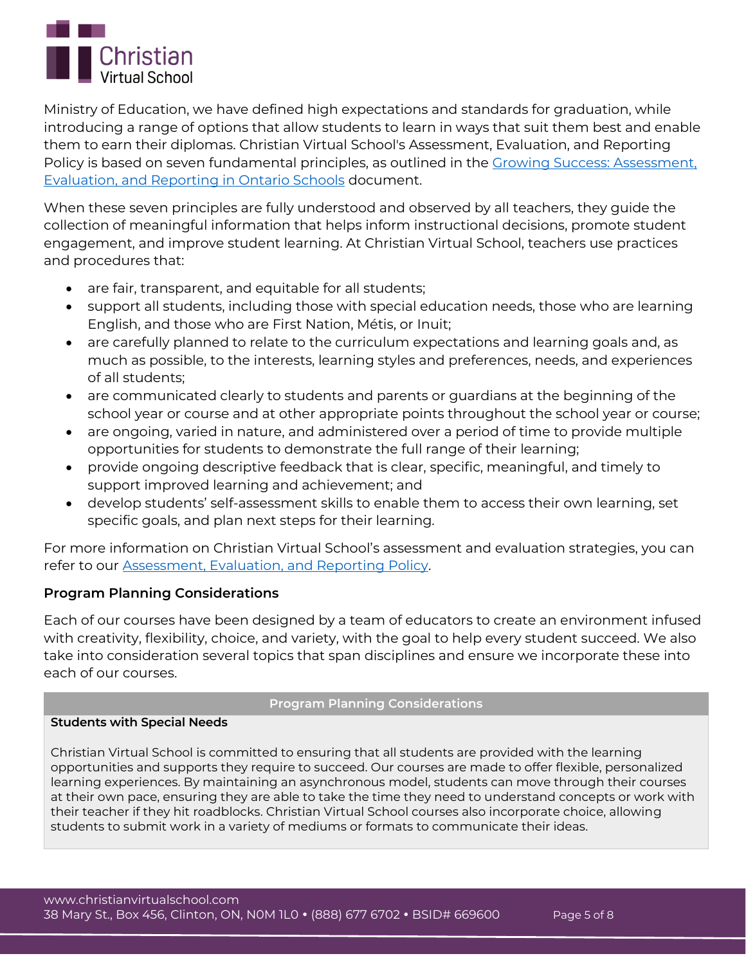

Ministry of Education, we have defined high expectations and standards for graduation, while introducing a range of options that allow students to learn in ways that suit them best and enable them to earn their diplomas. Christian Virtual School's Assessment, Evaluation, and Reporting Policy is based on seven fundamental principles, as outlined in the [Growing Success: Assessment,](http://www.edu.gov.on.ca/eng/policyfunding/growSuccess.pdf)  [Evaluation, and Reporting in Ontario Schools](http://www.edu.gov.on.ca/eng/policyfunding/growSuccess.pdf) document.

When these seven principles are fully understood and observed by all teachers, they guide the collection of meaningful information that helps inform instructional decisions, promote student engagement, and improve student learning. At Christian Virtual School, teachers use practices and procedures that:

- are fair, transparent, and equitable for all students;
- support all students, including those with special education needs, those who are learning English, and those who are First Nation, Métis, or Inuit;
- are carefully planned to relate to the curriculum expectations and learning goals and, as much as possible, to the interests, learning styles and preferences, needs, and experiences of all students;
- are communicated clearly to students and parents or guardians at the beginning of the school year or course and at other appropriate points throughout the school year or course;
- are ongoing, varied in nature, and administered over a period of time to provide multiple opportunities for students to demonstrate the full range of their learning;
- provide ongoing descriptive feedback that is clear, specific, meaningful, and timely to support improved learning and achievement; and
- develop students' self-assessment skills to enable them to access their own learning, set specific goals, and plan next steps for their learning.

For more information on Christian Virtual School's assessment and evaluation strategies, you can refer to our [Assessment, Evaluation, and Reporting Policy.](https://www.christianvirtualschool.com/wp-content/uploads/2020/07/Assessment-Evaluation-and-Reporting.pdf)

## **Program Planning Considerations**

Each of our courses have been designed by a team of educators to create an environment infused with creativity, flexibility, choice, and variety, with the goal to help every student succeed. We also take into consideration several topics that span disciplines and ensure we incorporate these into each of our courses.

## **Program Planning Considerations**

## **Students with Special Needs**

Christian Virtual School is committed to ensuring that all students are provided with the learning opportunities and supports they require to succeed. Our courses are made to offer flexible, personalized learning experiences. By maintaining an asynchronous model, students can move through their courses at their own pace, ensuring they are able to take the time they need to understand concepts or work with their teacher if they hit roadblocks. Christian Virtual School courses also incorporate choice, allowing students to submit work in a variety of mediums or formats to communicate their ideas.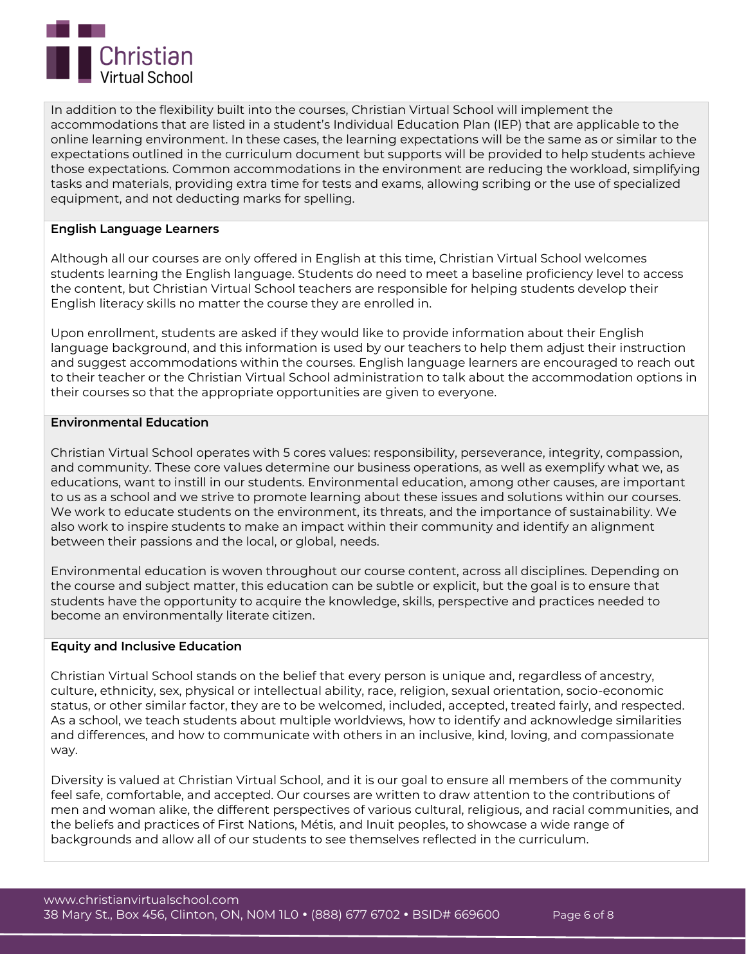

In addition to the flexibility built into the courses, Christian Virtual School will implement the accommodations that are listed in a student's Individual Education Plan (IEP) that are applicable to the online learning environment. In these cases, the learning expectations will be the same as or similar to the expectations outlined in the curriculum document but supports will be provided to help students achieve those expectations. Common accommodations in the environment are reducing the workload, simplifying tasks and materials, providing extra time for tests and exams, allowing scribing or the use of specialized equipment, and not deducting marks for spelling.

## **English Language Learners**

Although all our courses are only offered in English at this time, Christian Virtual School welcomes students learning the English language. Students do need to meet a baseline proficiency level to access the content, but Christian Virtual School teachers are responsible for helping students develop their English literacy skills no matter the course they are enrolled in.

Upon enrollment, students are asked if they would like to provide information about their English language background, and this information is used by our teachers to help them adjust their instruction and suggest accommodations within the courses. English language learners are encouraged to reach out to their teacher or the Christian Virtual School administration to talk about the accommodation options in their courses so that the appropriate opportunities are given to everyone.

## **Environmental Education**

Christian Virtual School operates with 5 cores values: responsibility, perseverance, integrity, compassion, and community. These core values determine our business operations, as well as exemplify what we, as educations, want to instill in our students. Environmental education, among other causes, are important to us as a school and we strive to promote learning about these issues and solutions within our courses. We work to educate students on the environment, its threats, and the importance of sustainability. We also work to inspire students to make an impact within their community and identify an alignment between their passions and the local, or global, needs.

Environmental education is woven throughout our course content, across all disciplines. Depending on the course and subject matter, this education can be subtle or explicit, but the goal is to ensure that students have the opportunity to acquire the knowledge, skills, perspective and practices needed to become an environmentally literate citizen.

#### **Equity and Inclusive Education**

Christian Virtual School stands on the belief that every person is unique and, regardless of ancestry, culture, ethnicity, sex, physical or intellectual ability, race, religion, sexual orientation, socio-economic status, or other similar factor, they are to be welcomed, included, accepted, treated fairly, and respected. As a school, we teach students about multiple worldviews, how to identify and acknowledge similarities and differences, and how to communicate with others in an inclusive, kind, loving, and compassionate way.

Diversity is valued at Christian Virtual School, and it is our goal to ensure all members of the community feel safe, comfortable, and accepted. Our courses are written to draw attention to the contributions of men and woman alike, the different perspectives of various cultural, religious, and racial communities, and the beliefs and practices of First Nations, Métis, and Inuit peoples, to showcase a wide range of backgrounds and allow all of our students to see themselves reflected in the curriculum.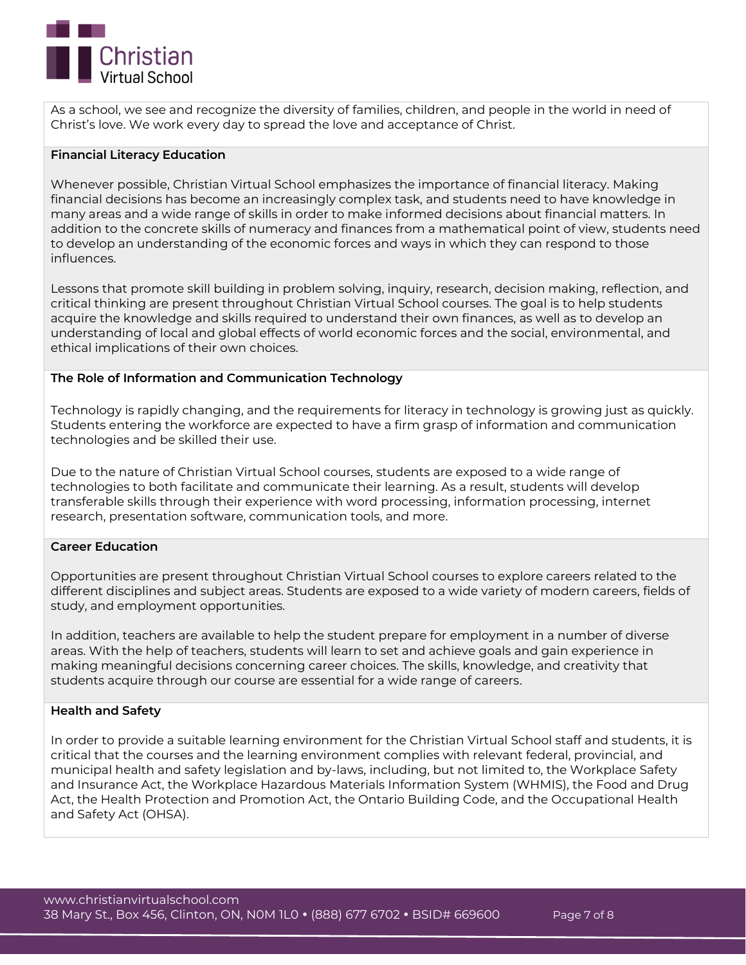

As a school, we see and recognize the diversity of families, children, and people in the world in need of Christ's love. We work every day to spread the love and acceptance of Christ.

## **Financial Literacy Education**

Whenever possible, Christian Virtual School emphasizes the importance of financial literacy. Making financial decisions has become an increasingly complex task, and students need to have knowledge in many areas and a wide range of skills in order to make informed decisions about financial matters. In addition to the concrete skills of numeracy and finances from a mathematical point of view, students need to develop an understanding of the economic forces and ways in which they can respond to those influences.

Lessons that promote skill building in problem solving, inquiry, research, decision making, reflection, and critical thinking are present throughout Christian Virtual School courses. The goal is to help students acquire the knowledge and skills required to understand their own finances, as well as to develop an understanding of local and global effects of world economic forces and the social, environmental, and ethical implications of their own choices.

## **The Role of Information and Communication Technology**

Technology is rapidly changing, and the requirements for literacy in technology is growing just as quickly. Students entering the workforce are expected to have a firm grasp of information and communication technologies and be skilled their use.

Due to the nature of Christian Virtual School courses, students are exposed to a wide range of technologies to both facilitate and communicate their learning. As a result, students will develop transferable skills through their experience with word processing, information processing, internet research, presentation software, communication tools, and more.

#### **Career Education**

Opportunities are present throughout Christian Virtual School courses to explore careers related to the different disciplines and subject areas. Students are exposed to a wide variety of modern careers, fields of study, and employment opportunities.

In addition, teachers are available to help the student prepare for employment in a number of diverse areas. With the help of teachers, students will learn to set and achieve goals and gain experience in making meaningful decisions concerning career choices. The skills, knowledge, and creativity that students acquire through our course are essential for a wide range of careers.

#### **Health and Safety**

In order to provide a suitable learning environment for the Christian Virtual School staff and students, it is critical that the courses and the learning environment complies with relevant federal, provincial, and municipal health and safety legislation and by-laws, including, but not limited to, the Workplace Safety and Insurance Act, the Workplace Hazardous Materials Information System (WHMIS), the Food and Drug Act, the Health Protection and Promotion Act, the Ontario Building Code, and the Occupational Health and Safety Act (OHSA).